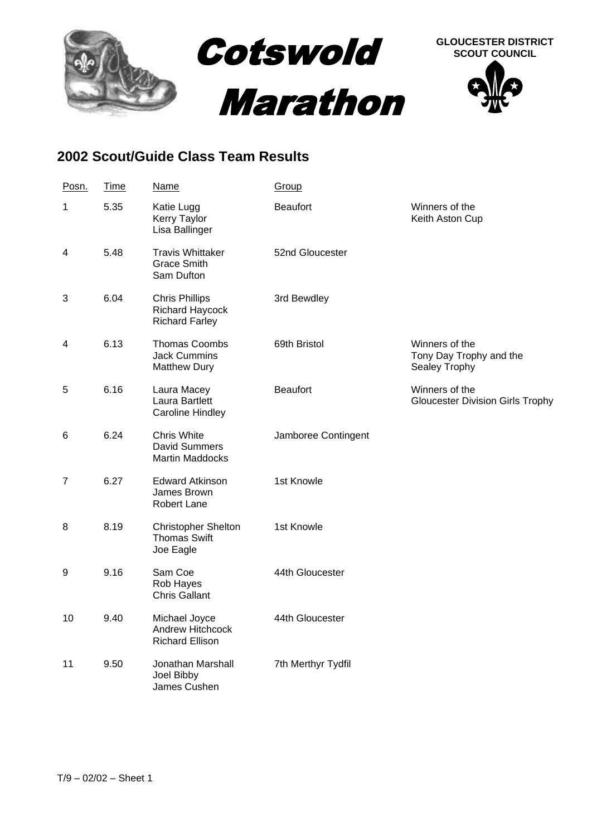

## **2002 Scout/Guide Class Team Results**

| Posn. | Time | Name                                                              | Group               |                                                            |
|-------|------|-------------------------------------------------------------------|---------------------|------------------------------------------------------------|
| 1     | 5.35 | Katie Lugg<br>Kerry Taylor<br>Lisa Ballinger                      | <b>Beaufort</b>     | Winners of the<br>Keith Aston Cup                          |
| 4     | 5.48 | <b>Travis Whittaker</b><br><b>Grace Smith</b><br>Sam Dufton       | 52nd Gloucester     |                                                            |
| 3     | 6.04 | <b>Chris Phillips</b><br>Richard Haycock<br><b>Richard Farley</b> | 3rd Bewdley         |                                                            |
| 4     | 6.13 | Thomas Coombs<br><b>Jack Cummins</b><br><b>Matthew Dury</b>       | 69th Bristol        | Winners of the<br>Tony Day Trophy and the<br>Sealey Trophy |
| 5     | 6.16 | Laura Macey<br>Laura Bartlett<br><b>Caroline Hindley</b>          | <b>Beaufort</b>     | Winners of the<br><b>Gloucester Division Girls Trophy</b>  |
| 6     | 6.24 | Chris White<br><b>David Summers</b><br><b>Martin Maddocks</b>     | Jamboree Contingent |                                                            |
| 7     | 6.27 | <b>Edward Atkinson</b><br>James Brown<br>Robert Lane              | 1st Knowle          |                                                            |
| 8     | 8.19 | <b>Christopher Shelton</b><br><b>Thomas Swift</b><br>Joe Eagle    | 1st Knowle          |                                                            |
| 9     | 9.16 | Sam Coe<br>Rob Hayes<br><b>Chris Gallant</b>                      | 44th Gloucester     |                                                            |
| 10    | 9.40 | Michael Joyce<br>Andrew Hitchcock<br><b>Richard Ellison</b>       | 44th Gloucester     |                                                            |
| 11    | 9.50 | Jonathan Marshall<br>Joel Bibby<br>James Cushen                   | 7th Merthyr Tydfil  |                                                            |